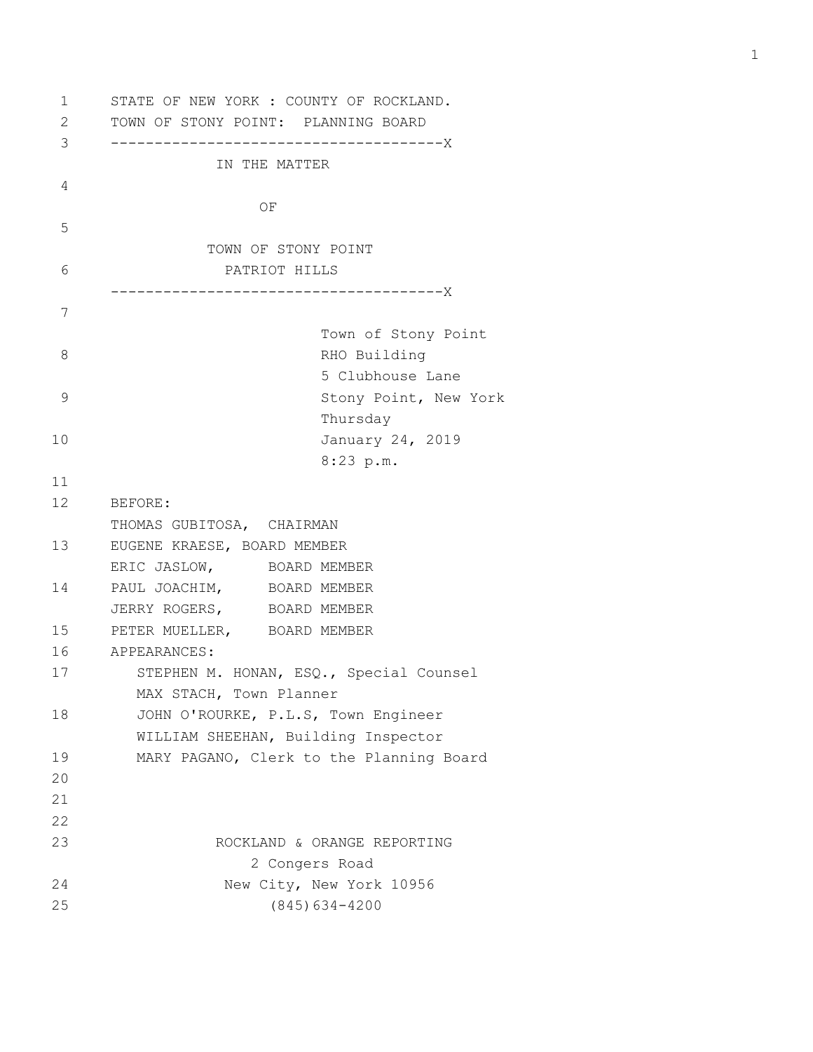1 STATE OF NEW YORK : COUNTY OF ROCKLAND. 2 TOWN OF STONY POINT: PLANNING BOARD 3 --------------------------------------X IN THE MATTER 4 **OF** *OF* 5 TOWN OF STONY POINT 6 PATRIOT HILLS --------------------------------------X 7 Town of Stony Point 8 RHO Building 5 Clubhouse Lane 9 Stony Point, New York Thursday 10 January 24, 2019 8:23 p.m. 11 12 BEFORE: THOMAS GUBITOSA, CHAIRMAN 13 EUGENE KRAESE, BOARD MEMBER ERIC JASLOW, BOARD MEMBER 14 PAUL JOACHIM, BOARD MEMBER JERRY ROGERS, BOARD MEMBER 15 PETER MUELLER, BOARD MEMBER 16 APPEARANCES: 17 STEPHEN M. HONAN, ESQ., Special Counsel MAX STACH, Town Planner 18 JOHN O'ROURKE, P.L.S, Town Engineer WILLIAM SHEEHAN, Building Inspector 19 MARY PAGANO, Clerk to the Planning Board 20 21 22 23 ROCKLAND & ORANGE REPORTING 2 Congers Road 24 New City, New York 10956 25 (845)634-4200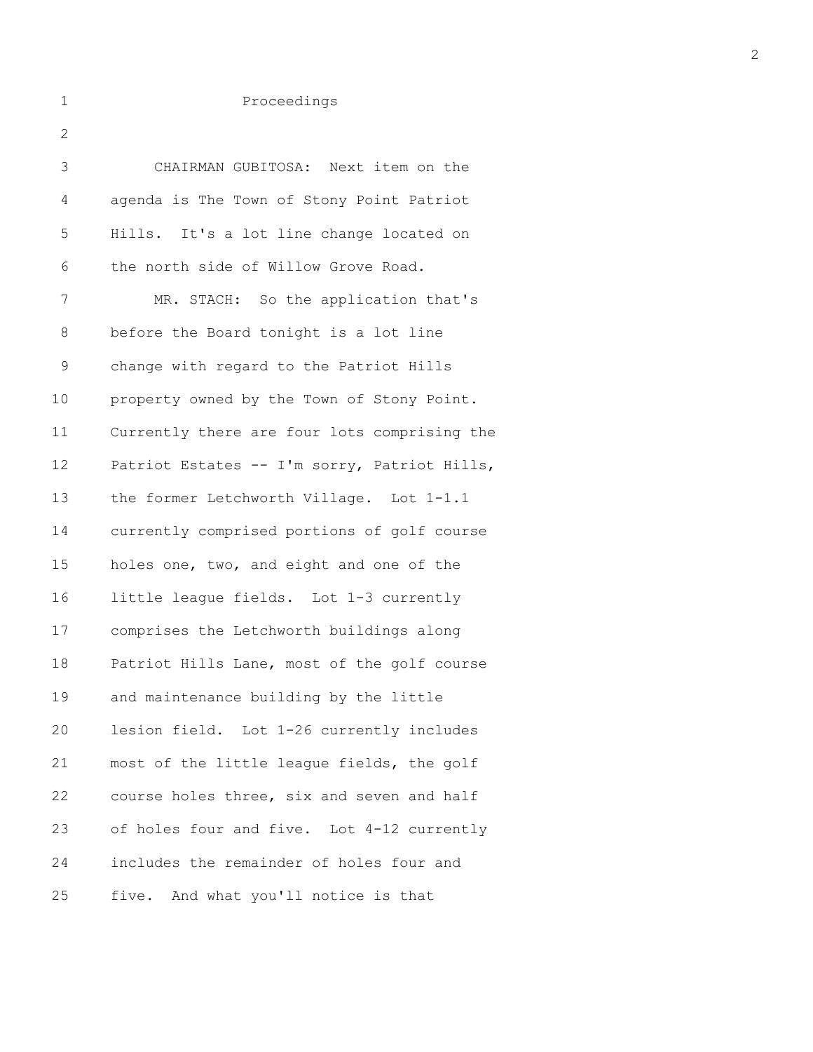## 1 Proceedings

| $\mathbf{2}$ |                                              |
|--------------|----------------------------------------------|
| 3            | CHAIRMAN GUBITOSA: Next item on the          |
| 4            | agenda is The Town of Stony Point Patriot    |
| 5            | Hills. It's a lot line change located on     |
| 6            | the north side of Willow Grove Road.         |
| 7            | MR. STACH: So the application that's         |
| 8            | before the Board tonight is a lot line       |
| $\mathsf 9$  | change with regard to the Patriot Hills      |
| 10           | property owned by the Town of Stony Point.   |
| 11           | Currently there are four lots comprising the |
| 12           | Patriot Estates -- I'm sorry, Patriot Hills, |
| 13           | the former Letchworth Village. Lot 1-1.1     |
| 14           | currently comprised portions of golf course  |
| 15           | holes one, two, and eight and one of the     |
| 16           | little league fields. Lot 1-3 currently      |
| 17           | comprises the Letchworth buildings along     |
| 18           | Patriot Hills Lane, most of the golf course  |
| 19           | and maintenance building by the little       |
| 20           | lesion field. Lot 1-26 currently includes    |
| 21           | most of the little league fields, the golf   |
| 22           | course holes three, six and seven and half   |
| 23           | of holes four and five. Lot 4-12 currently   |
| 24           | includes the remainder of holes four and     |
| 25           | And what you'll notice is that<br>five.      |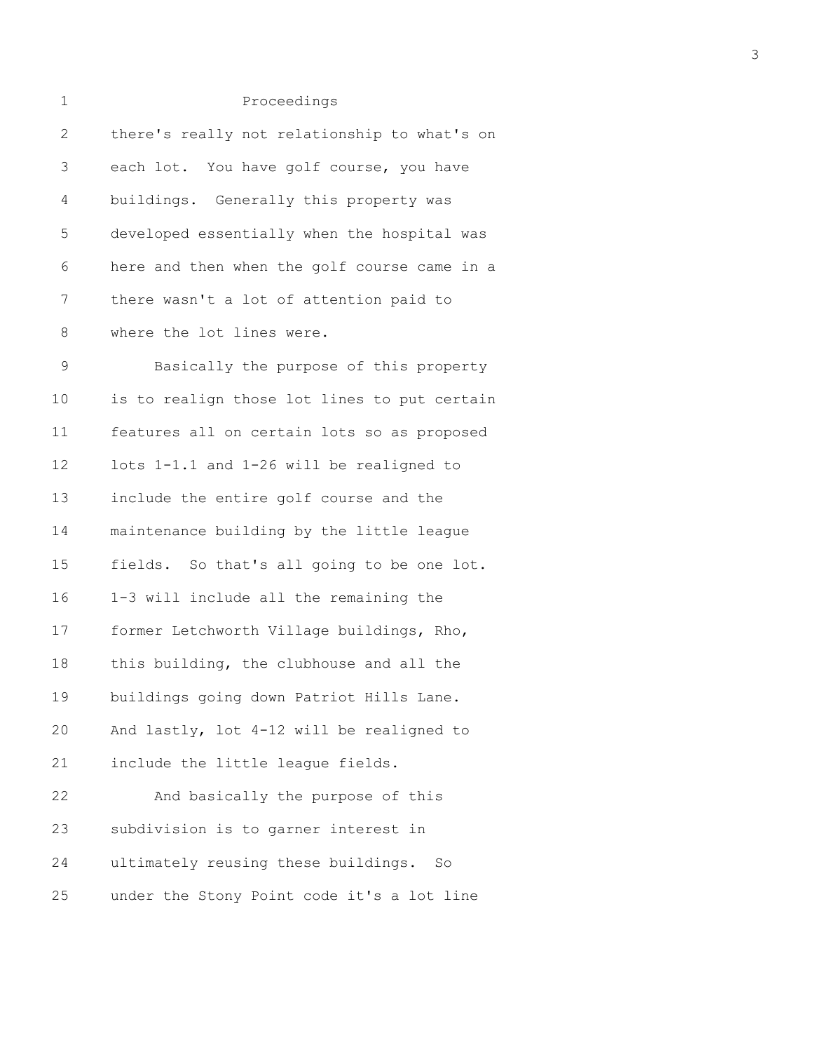| 1            | Proceedings                                  |
|--------------|----------------------------------------------|
| $\mathbf{2}$ | there's really not relationship to what's on |
| 3            | each lot. You have golf course, you have     |
| 4            | buildings. Generally this property was       |
| 5            | developed essentially when the hospital was  |
| 6            | here and then when the golf course came in a |
| 7            | there wasn't a lot of attention paid to      |
| 8            | where the lot lines were.                    |
| $\mathsf 9$  | Basically the purpose of this property       |
| 10           | is to realign those lot lines to put certain |
| 11           | features all on certain lots so as proposed  |
| 12           | lots 1-1.1 and 1-26 will be realigned to     |
| 13           | include the entire golf course and the       |
| 14           | maintenance building by the little league    |
| 15           | fields. So that's all going to be one lot.   |
| 16           | 1-3 will include all the remaining the       |
| 17           | former Letchworth Village buildings, Rho,    |
| 18           | this building, the clubhouse and all the     |
| 19           | buildings going down Patriot Hills Lane.     |
| 20           | And lastly, lot 4-12 will be realigned to    |
| 21           | include the little league fields.            |
| 22           | And basically the purpose of this            |
| 23           | subdivision is to garner interest in         |
| 24           | ultimately reusing these buildings.<br>So    |
|              |                                              |

25 under the Stony Point code it's a lot line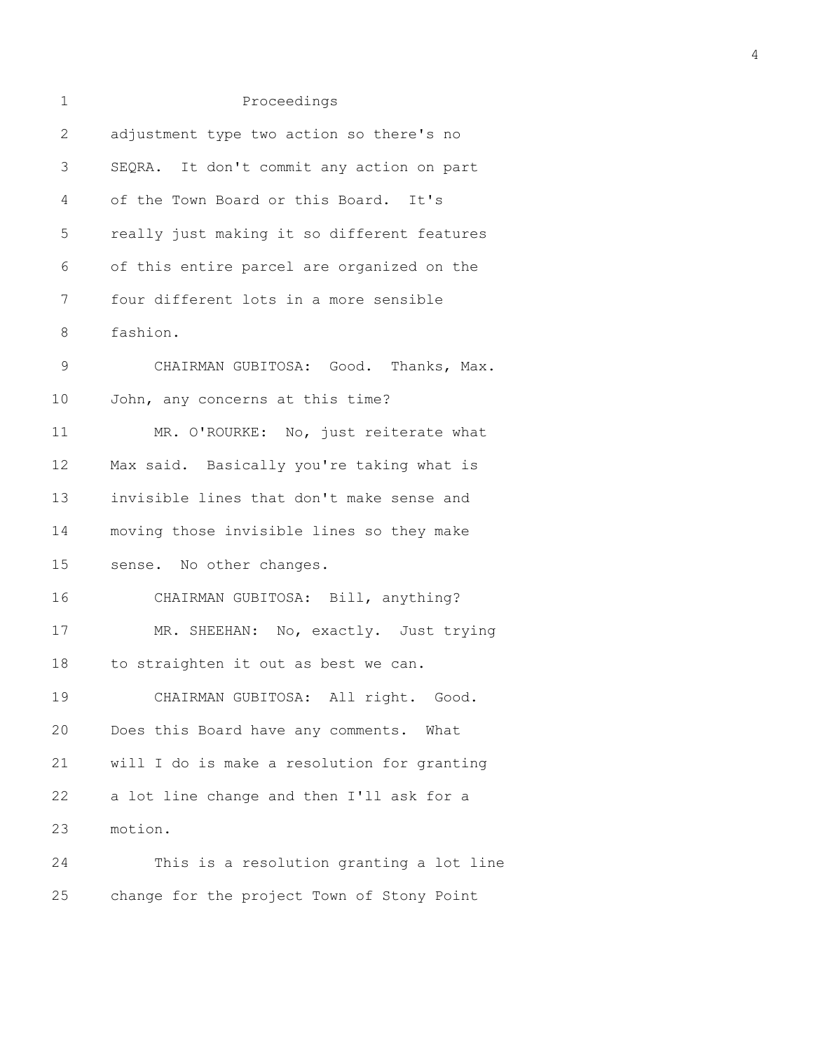| 1              | Proceedings                                 |
|----------------|---------------------------------------------|
| $\overline{2}$ | adjustment type two action so there's no    |
| 3              | SEQRA. It don't commit any action on part   |
| 4              | of the Town Board or this Board. It's       |
| 5              | really just making it so different features |
| 6              | of this entire parcel are organized on the  |
| 7              | four different lots in a more sensible      |
| 8              | fashion.                                    |
| $\mathsf 9$    | CHAIRMAN GUBITOSA: Good. Thanks, Max.       |
| 10             | John, any concerns at this time?            |
| 11             | MR. O'ROURKE: No, just reiterate what       |
| 12             | Max said. Basically you're taking what is   |
| 13             | invisible lines that don't make sense and   |
| 14             | moving those invisible lines so they make   |
| 15             | sense. No other changes.                    |
| 16             | CHAIRMAN GUBITOSA: Bill, anything?          |
| 17             | MR. SHEEHAN: No, exactly. Just trying       |
| 18             | to straighten it out as best we can.        |
| 19             | CHAIRMAN GUBITOSA: All right. Good.         |
| 20             | Does this Board have any comments. What     |
| 21             | will I do is make a resolution for granting |
| 22             | a lot line change and then I'll ask for a   |
| 23             | motion.                                     |
| 24             | This is a resolution granting a lot line    |
| 25             | change for the project Town of Stony Point  |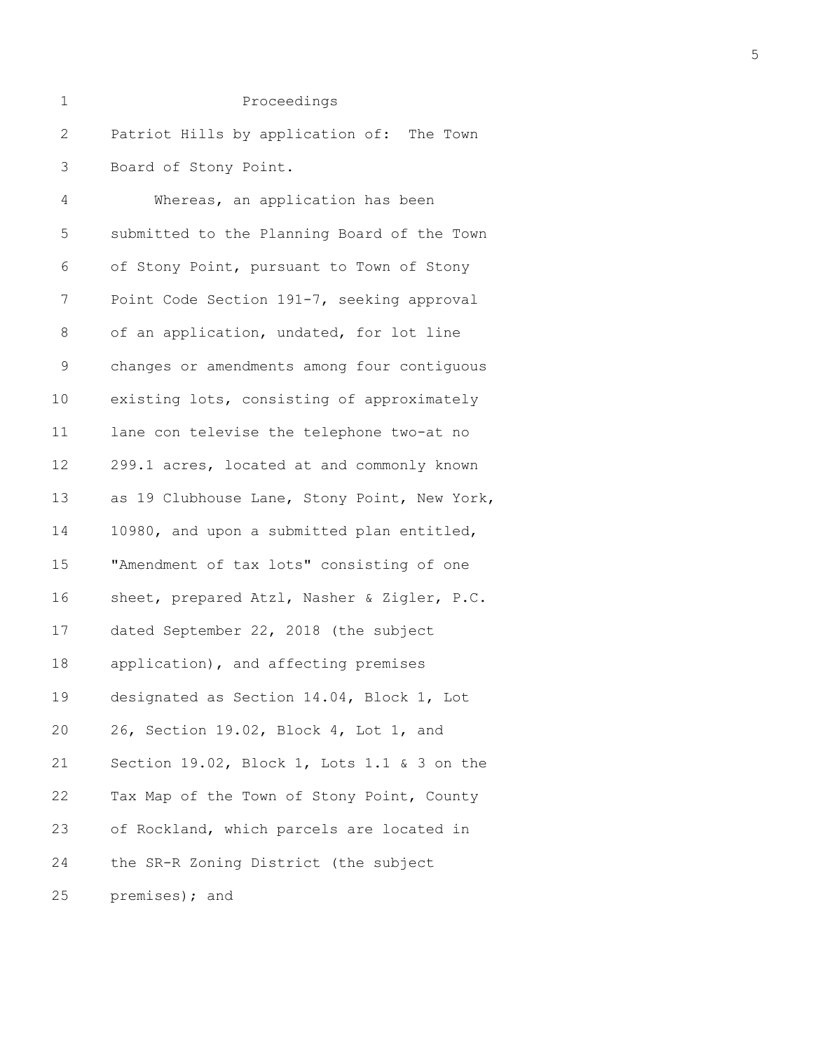| 1            | Proceedings                                  |
|--------------|----------------------------------------------|
| $\mathbf{2}$ | Patriot Hills by application of: The Town    |
| 3            | Board of Stony Point.                        |
| 4            | Whereas, an application has been             |
| 5            | submitted to the Planning Board of the Town  |
| 6            | of Stony Point, pursuant to Town of Stony    |
| 7            | Point Code Section 191-7, seeking approval   |
| $\,8\,$      | of an application, undated, for lot line     |
| $\mathsf 9$  | changes or amendments among four contiguous  |
| 10           | existing lots, consisting of approximately   |
| 11           | lane con televise the telephone two-at no    |
| 12           | 299.1 acres, located at and commonly known   |
| 13           | as 19 Clubhouse Lane, Stony Point, New York, |
| 14           | 10980, and upon a submitted plan entitled,   |
| 15           | "Amendment of tax lots" consisting of one    |
| 16           | sheet, prepared Atzl, Nasher & Zigler, P.C.  |
| 17           | dated September 22, 2018 (the subject        |
| 18           | application), and affecting premises         |
| 19           | designated as Section 14.04, Block 1, Lot    |
| 20           | 26, Section 19.02, Block 4, Lot 1, and       |
| 21           | Section 19.02, Block 1, Lots 1.1 & 3 on the  |
| 22           | Tax Map of the Town of Stony Point, County   |
| 23           | of Rockland, which parcels are located in    |
| 24           | the SR-R Zoning District (the subject        |
| 25           | premises); and                               |

5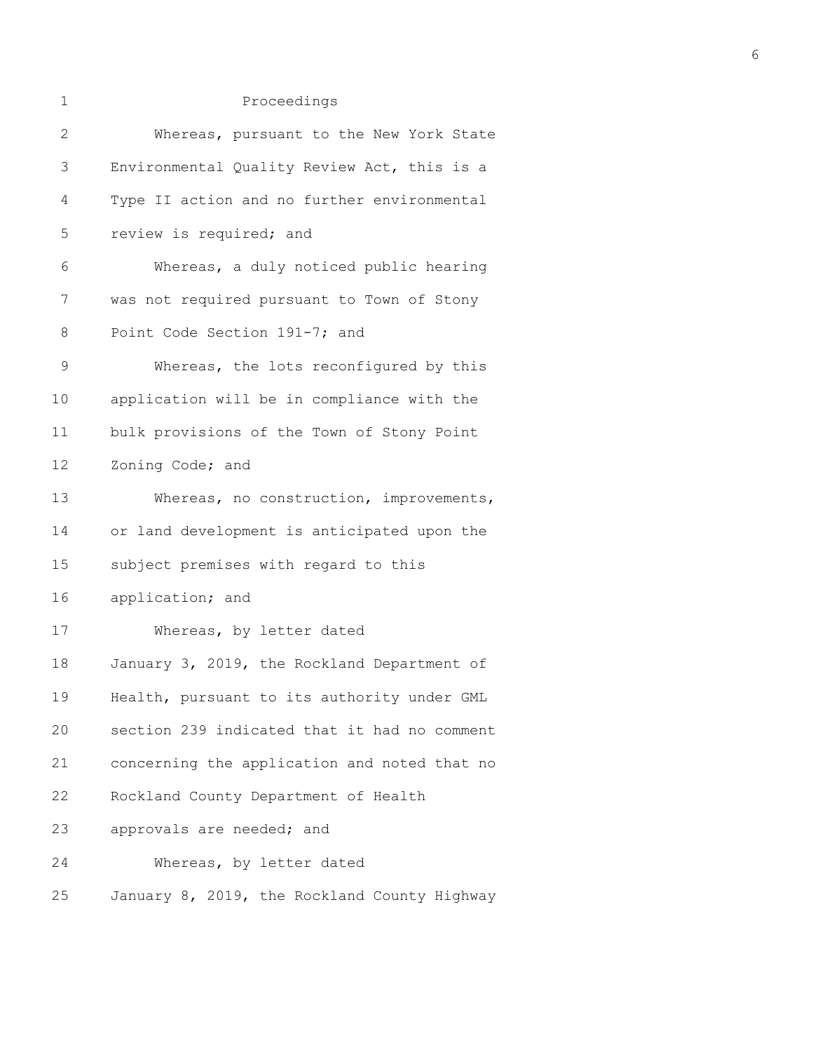| $\mathbf 1$  | Proceedings                                  |
|--------------|----------------------------------------------|
| $\mathbf{2}$ | Whereas, pursuant to the New York State      |
| 3            | Environmental Quality Review Act, this is a  |
| 4            | Type II action and no further environmental  |
| 5            | review is required; and                      |
| 6            | Whereas, a duly noticed public hearing       |
| 7            | was not required pursuant to Town of Stony   |
| 8            | Point Code Section 191-7; and                |
| $\mathsf 9$  | Whereas, the lots reconfigured by this       |
| 10           | application will be in compliance with the   |
| 11           | bulk provisions of the Town of Stony Point   |
| 12           | Zoning Code; and                             |
| 13           | Whereas, no construction, improvements,      |
| 14           | or land development is anticipated upon the  |
| 15           | subject premises with regard to this         |
| 16           | application; and                             |
| 17           | Whereas, by letter dated                     |
| 18           | January 3, 2019, the Rockland Department of  |
| 19           | Health, pursuant to its authority under GML  |
| 20           | section 239 indicated that it had no comment |
| 21           | concerning the application and noted that no |
| 22           | Rockland County Department of Health         |
| 23           | approvals are needed; and                    |
| 24           | Whereas, by letter dated                     |
| 25           | January 8, 2019, the Rockland County Highway |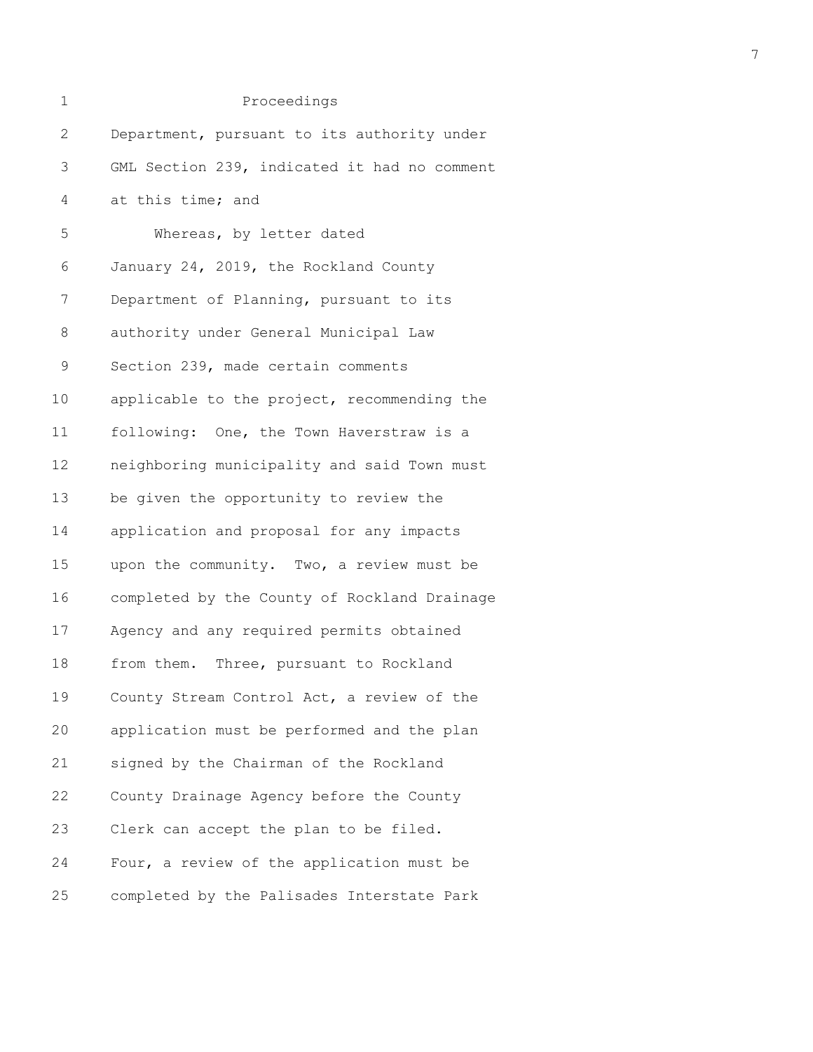| 1            | Proceedings                                  |
|--------------|----------------------------------------------|
| $\mathbf{2}$ | Department, pursuant to its authority under  |
| 3            | GML Section 239, indicated it had no comment |
| 4            | at this time; and                            |
| 5            | Whereas, by letter dated                     |
| 6            | January 24, 2019, the Rockland County        |
| 7            | Department of Planning, pursuant to its      |
| 8            | authority under General Municipal Law        |
| $\mathsf 9$  | Section 239, made certain comments           |
| 10           | applicable to the project, recommending the  |
| 11           | following: One, the Town Haverstraw is a     |
| 12           | neighboring municipality and said Town must  |
| 13           | be given the opportunity to review the       |
| 14           | application and proposal for any impacts     |
| 15           | upon the community. Two, a review must be    |
| 16           | completed by the County of Rockland Drainage |
| 17           | Agency and any required permits obtained     |
| 18           | from them. Three, pursuant to Rockland       |
| 19           | County Stream Control Act, a review of the   |
| 20           | application must be performed and the plan   |
| 21           | signed by the Chairman of the Rockland       |
| 22           | County Drainage Agency before the County     |
| 23           | Clerk can accept the plan to be filed.       |
| 24           | Four, a review of the application must be    |
| 25           | completed by the Palisades Interstate Park   |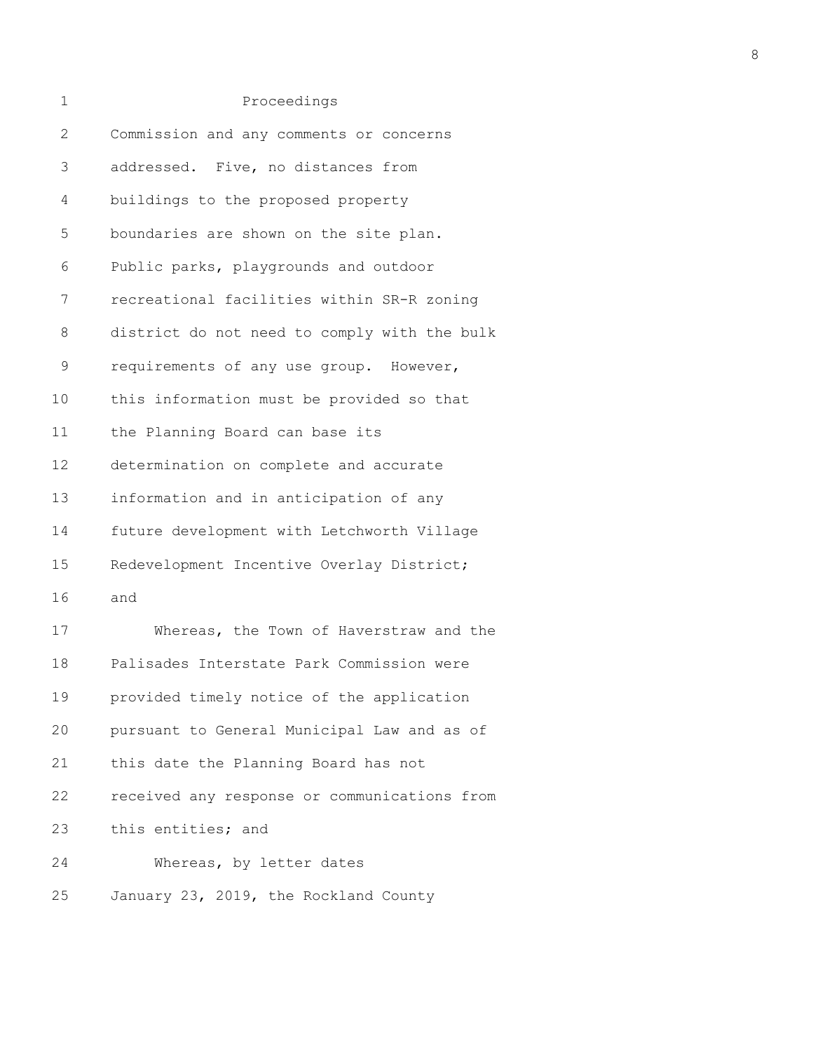| 1            | Proceedings                                  |
|--------------|----------------------------------------------|
| $\mathbf{2}$ | Commission and any comments or concerns      |
| 3            | addressed. Five, no distances from           |
| 4            | buildings to the proposed property           |
| 5            | boundaries are shown on the site plan.       |
| 6            | Public parks, playgrounds and outdoor        |
| 7            | recreational facilities within SR-R zoning   |
| 8            | district do not need to comply with the bulk |
| $\mathsf 9$  | requirements of any use group. However,      |
| 10           | this information must be provided so that    |
| 11           | the Planning Board can base its              |
| 12           | determination on complete and accurate       |
| 13           | information and in anticipation of any       |
| 14           | future development with Letchworth Village   |
| 15           | Redevelopment Incentive Overlay District;    |
| 16           | and                                          |
| 17           | Whereas, the Town of Haverstraw and the      |
| 18           | Palisades Interstate Park Commission were    |
| 19           | provided timely notice of the application    |
| 20           | pursuant to General Municipal Law and as of  |
| 21           | this date the Planning Board has not         |
| 22           | received any response or communications from |
| 23           | this entities; and                           |
| 24           | Whereas, by letter dates                     |
| 25           | January 23, 2019, the Rockland County        |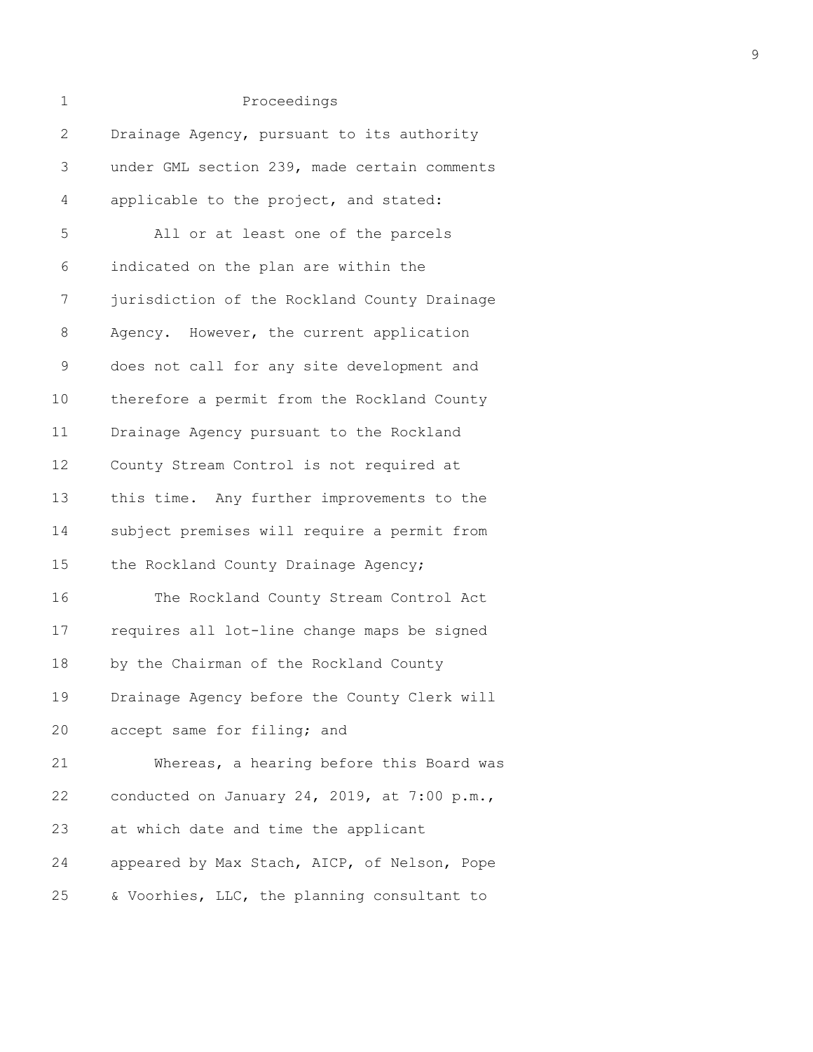| 1            | Proceedings                                  |
|--------------|----------------------------------------------|
| $\mathbf{2}$ | Drainage Agency, pursuant to its authority   |
| 3            | under GML section 239, made certain comments |
| 4            | applicable to the project, and stated:       |
| 5            | All or at least one of the parcels           |
| 6            | indicated on the plan are within the         |
| 7            | jurisdiction of the Rockland County Drainage |
| 8            | Agency. However, the current application     |
| $\mathsf 9$  | does not call for any site development and   |
| 10           | therefore a permit from the Rockland County  |
| 11           | Drainage Agency pursuant to the Rockland     |
| 12           | County Stream Control is not required at     |
| 13           | this time. Any further improvements to the   |
| 14           | subject premises will require a permit from  |
| 15           | the Rockland County Drainage Agency;         |
| 16           | The Rockland County Stream Control Act       |
| 17           | requires all lot-line change maps be signed  |
| 18           | by the Chairman of the Rockland County       |
| 19           | Drainage Agency before the County Clerk will |
| 20           | accept same for filing; and                  |
| 21           | Whereas, a hearing before this Board was     |
| 22           | conducted on January 24, 2019, at 7:00 p.m., |
| 23           | at which date and time the applicant         |
| 24           | appeared by Max Stach, AICP, of Nelson, Pope |
| 25           | & Voorhies, LLC, the planning consultant to  |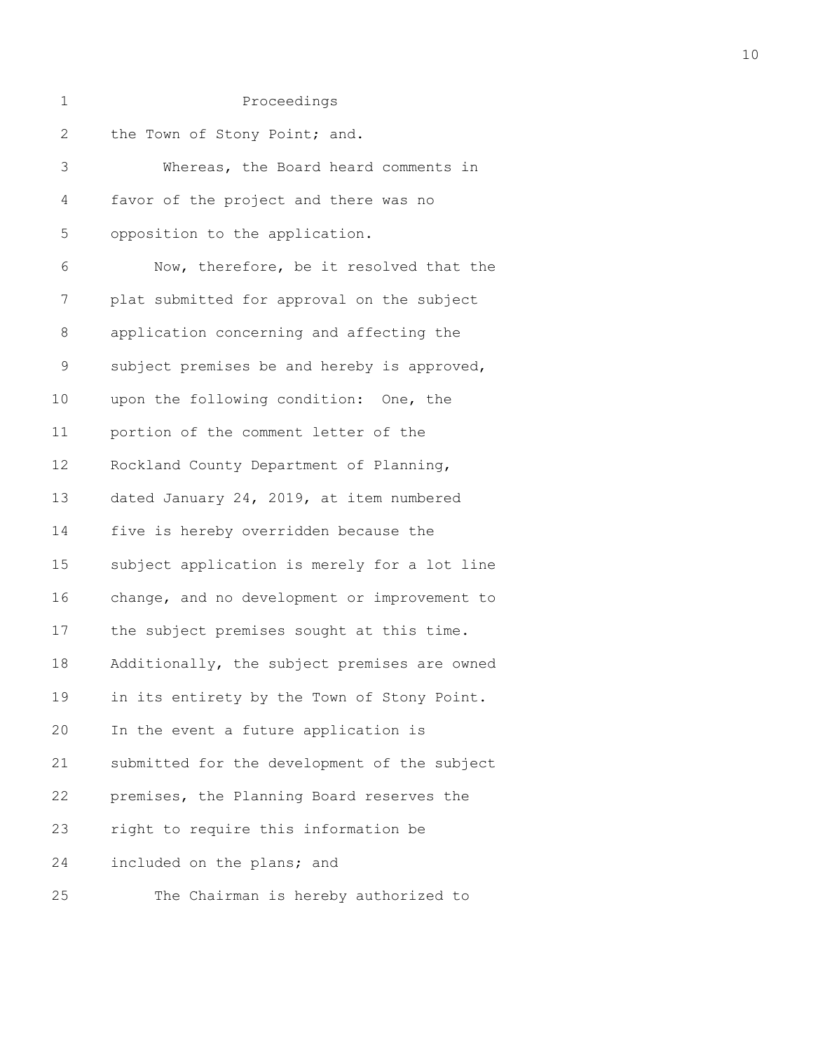| $\mathbf 1$  | Proceedings                                  |
|--------------|----------------------------------------------|
| $\mathbf{2}$ | the Town of Stony Point; and.                |
| 3            | Whereas, the Board heard comments in         |
| 4            | favor of the project and there was no        |
| 5            | opposition to the application.               |
| 6            | Now, therefore, be it resolved that the      |
| 7            | plat submitted for approval on the subject   |
| 8            | application concerning and affecting the     |
| $\mathsf 9$  | subject premises be and hereby is approved,  |
| 10           | upon the following condition: One, the       |
| 11           | portion of the comment letter of the         |
| 12           | Rockland County Department of Planning,      |
| 13           | dated January 24, 2019, at item numbered     |
| 14           | five is hereby overridden because the        |
| 15           | subject application is merely for a lot line |
| 16           | change, and no development or improvement to |
| 17           | the subject premises sought at this time.    |
| 18           | Additionally, the subject premises are owned |
| 19           | in its entirety by the Town of Stony Point.  |
| 20           | In the event a future application is         |
| 21           | submitted for the development of the subject |
| 22           | premises, the Planning Board reserves the    |
| 23           | right to require this information be         |
| 24           | included on the plans; and                   |
| 25           | The Chairman is hereby authorized to         |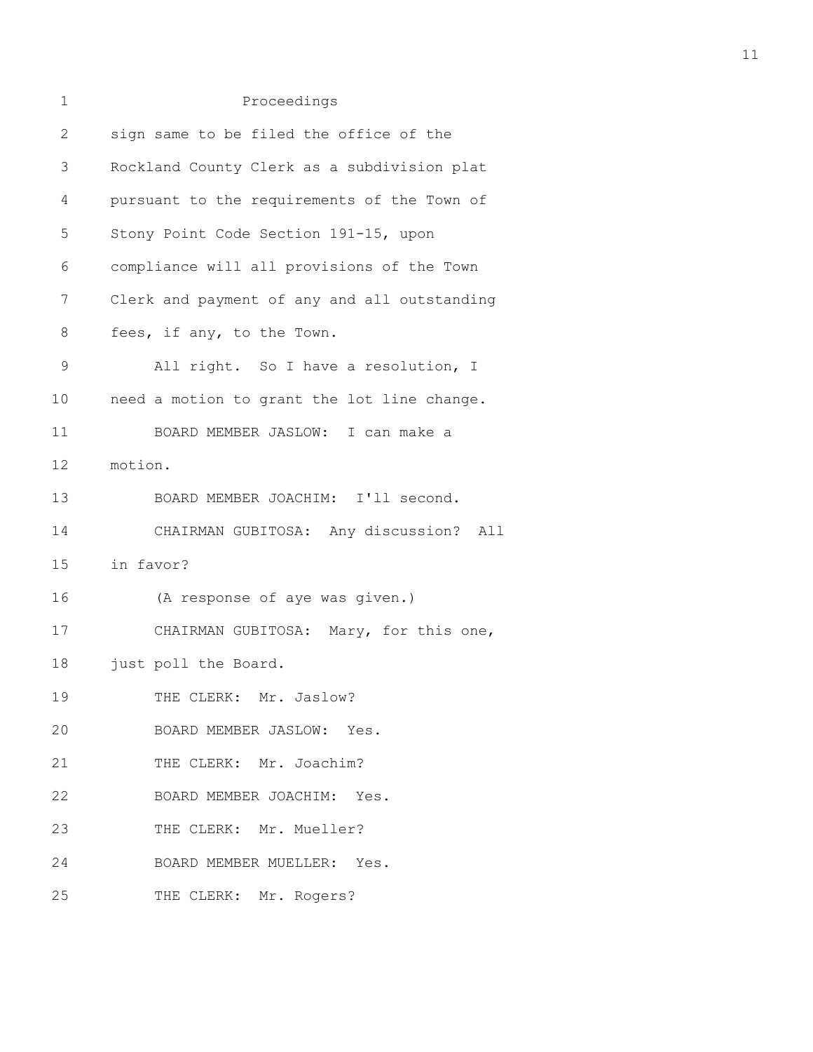| 1           | Proceedings                                  |
|-------------|----------------------------------------------|
| 2           | sign same to be filed the office of the      |
| 3           | Rockland County Clerk as a subdivision plat  |
| 4           | pursuant to the requirements of the Town of  |
| 5           | Stony Point Code Section 191-15, upon        |
| 6           | compliance will all provisions of the Town   |
| 7           | Clerk and payment of any and all outstanding |
| 8           | fees, if any, to the Town.                   |
| $\mathsf 9$ | All right. So I have a resolution, I         |
| 10          | need a motion to grant the lot line change.  |
| 11          | BOARD MEMBER JASLOW: I can make a            |
| 12          | motion.                                      |
| 13          | BOARD MEMBER JOACHIM: I'll second.           |
| 14          | CHAIRMAN GUBITOSA: Any discussion? All       |
| 15          | in favor?                                    |
| 16          | (A response of aye was given.)               |
| 17          | CHAIRMAN GUBITOSA: Mary, for this one,       |
| 18          | just poll the Board.                         |
| 19          | THE CLERK: Mr. Jaslow?                       |
| 20          | BOARD MEMBER JASLOW: Yes.                    |
| 21          | THE CLERK: Mr. Joachim?                      |
| 22          | BOARD MEMBER JOACHIM: Yes.                   |
| 23          | THE CLERK: Mr. Mueller?                      |
| 24          | BOARD MEMBER MUELLER: Yes.                   |
| 25          | THE CLERK: Mr. Rogers?                       |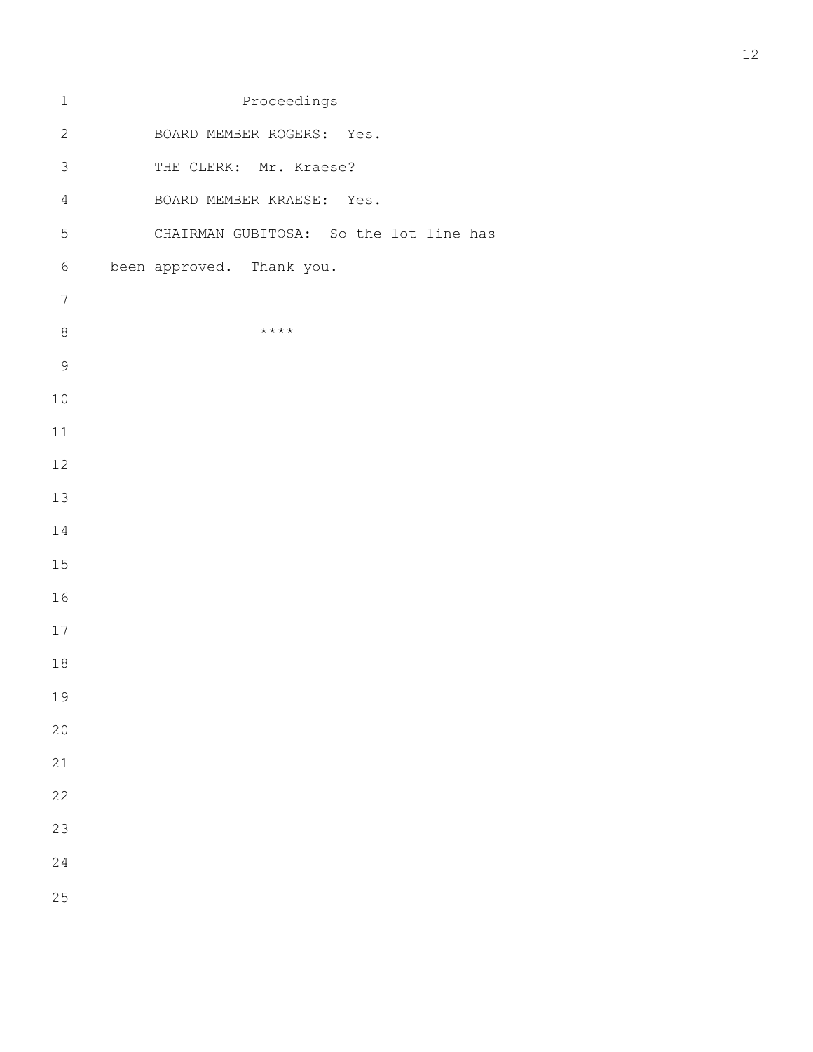| $\mathbf 1$      | Proceedings                            |
|------------------|----------------------------------------|
| $\mathbf{2}$     | BOARD MEMBER ROGERS: Yes.              |
| $\mathfrak{Z}$   | THE CLERK: Mr. Kraese?                 |
| $\sqrt{4}$       | BOARD MEMBER KRAESE: Yes.              |
| 5                | CHAIRMAN GUBITOSA: So the lot line has |
| $6\,$            | been approved. Thank you.              |
| $\boldsymbol{7}$ |                                        |
| $\,8\,$          | $***$ * * *                            |
| $\mathcal{G}$    |                                        |
| $10$             |                                        |
| $11\,$           |                                        |
| 12               |                                        |
| 13               |                                        |
| 14               |                                        |
| 15               |                                        |
| 16               |                                        |
| $17$             |                                        |
| $18\,$           |                                        |
| 19               |                                        |
| 20               |                                        |
| 21               |                                        |
| 22               |                                        |
| 23               |                                        |
| 24               |                                        |
| 25               |                                        |